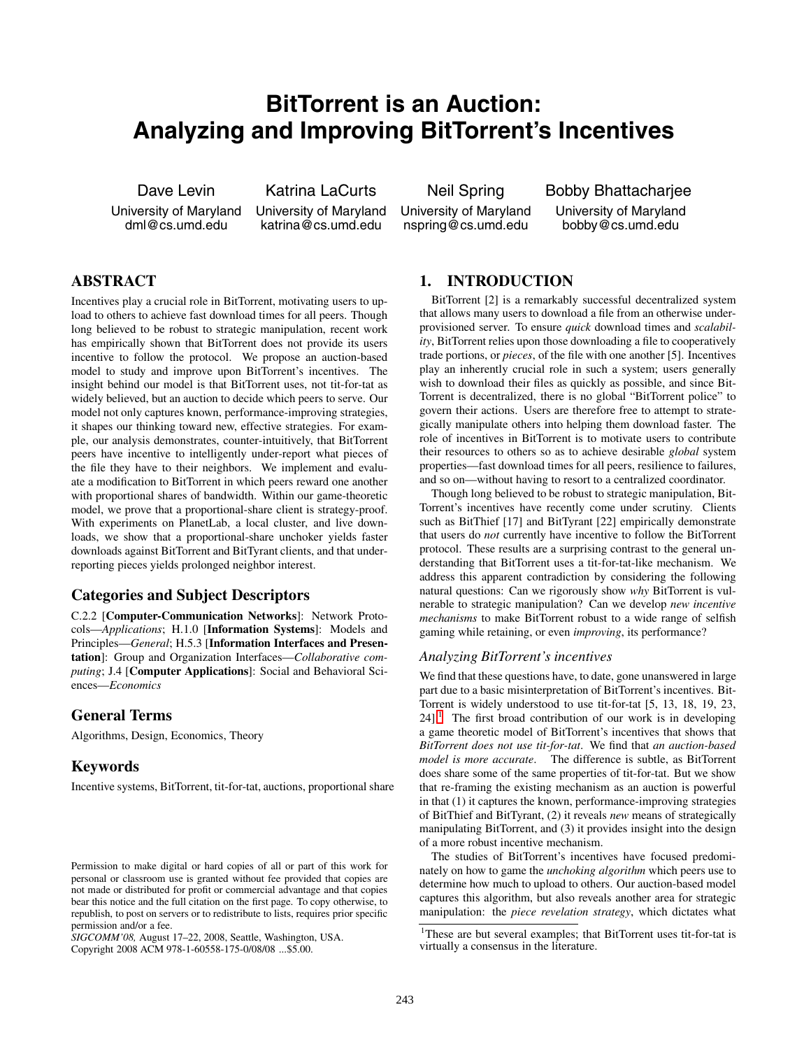# **BitTorrent is an Auction: Analyzing and Improving BitTorrent's Incentives**

University of Maryland University of Maryland University of Maryland University of Maryland<br>dml@cs.umd.edu katrina@cs.umd.edu nspring@cs.umd.edu bobby@cs.umd.edu

Dave Levin Katrina LaCurts Neil Spring Bobby Bhattacharjee

nspring@cs.umd.edu

# **ABSTRACT**

Incentives play a crucial role in BitTorrent, motivating users to upload to others to achieve fast download times for all peers. Though long believed to be robust to strategic manipulation, recent work has empirically shown that BitTorrent does not provide its users incentive to follow the protocol. We propose an auction-based model to study and improve upon BitTorrent's incentives. The insight behind our model is that BitTorrent uses, not tit-for-tat as widely believed, but an auction to decide which peers to serve. Our model not only captures known, performance-improving strategies, it shapes our thinking toward new, effective strategies. For example, our analysis demonstrates, counter-intuitively, that BitTorrent peers have incentive to intelligently under-report what pieces of the file they have to their neighbors. We implement and evaluate a modification to BitTorrent in which peers reward one another with proportional shares of bandwidth. Within our game-theoretic model, we prove that a proportional-share client is strategy-proof. With experiments on PlanetLab, a local cluster, and live downloads, we show that a proportional-share unchoker yields faster downloads against BitTorrent and BitTyrant clients, and that underreporting pieces yields prolonged neighbor interest.

# **Categories and Subject Descriptors**

C.2.2 [**Computer-Communication Networks**]: Network Protocols—*Applications*; H.1.0 [**Information Systems**]: Models and Principles—*General*; H.5.3 [**Information Interfaces and Presentation**]: Group and Organization Interfaces—*Collaborative computing*; J.4 [**Computer Applications**]: Social and Behavioral Sciences—*Economics*

# **General Terms**

Algorithms, Design, Economics, Theory

# **Keywords**

Incentive systems, BitTorrent, tit-for-tat, auctions, proportional share

Copyright 2008 ACM 978-1-60558-175-0/08/08 ...\$5.00.

# **1. INTRODUCTION**

BitTorrent [2] is a remarkably successful decentralized system that allows many users to download a file from an otherwise underprovisioned server. To ensure *quick* download times and *scalability*, BitTorrent relies upon those downloading a file to cooperatively trade portions, or *pieces*, of the file with one another [5]. Incentives play an inherently crucial role in such a system; users generally wish to download their files as quickly as possible, and since Bit-Torrent is decentralized, there is no global "BitTorrent police" to govern their actions. Users are therefore free to attempt to strategically manipulate others into helping them download faster. The role of incentives in BitTorrent is to motivate users to contribute their resources to others so as to achieve desirable *global* system properties—fast download times for all peers, resilience to failures, and so on—without having to resort to a centralized coordinator.

Though long believed to be robust to strategic manipulation, Bit-Torrent's incentives have recently come under scrutiny. Clients such as BitThief [17] and BitTyrant [22] empirically demonstrate that users do *not* currently have incentive to follow the BitTorrent protocol. These results are a surprising contrast to the general understanding that BitTorrent uses a tit-for-tat-like mechanism. We address this apparent contradiction by considering the following natural questions: Can we rigorously show *why* BitTorrent is vulnerable to strategic manipulation? Can we develop *new incentive mechanisms* to make BitTorrent robust to a wide range of selfish gaming while retaining, or even *improving*, its performance?

# *Analyzing BitTorrent's incentives*

We find that these questions have, to date, gone unanswered in large part due to a basic misinterpretation of BitTorrent's incentives. Bit-Torrent is widely understood to use tit-for-tat [5, 13, 18, 19, 23,  $24$ ].<sup>[1](#page-0-0)</sup> The first broad contribution of our work is in developing a game theoretic model of BitTorrent's incentives that shows that *BitTorrent does not use tit-for-tat*. We find that *an auction-based model is more accurate*. The difference is subtle, as BitTorrent does share some of the same properties of tit-for-tat. But we show that re-framing the existing mechanism as an auction is powerful in that (1) it captures the known, performance-improving strategies of BitThief and BitTyrant, (2) it reveals *new* means of strategically manipulating BitTorrent, and (3) it provides insight into the design of a more robust incentive mechanism.

The studies of BitTorrent's incentives have focused predominately on how to game the *unchoking algorithm* which peers use to determine how much to upload to others. Our auction-based model captures this algorithm, but also reveals another area for strategic manipulation: the *piece revelation strategy*, which dictates what

Permission to make digital or hard copies of all or part of this work for personal or classroom use is granted without fee provided that copies are not made or distributed for profit or commercial advantage and that copies bear this notice and the full citation on the first page. To copy otherwise, to republish, to post on servers or to redistribute to lists, requires prior specific permission and/or a fee.

*SIGCOMM'08,* August 17–22, 2008, Seattle, Washington, USA.

<span id="page-0-0"></span><sup>&</sup>lt;sup>1</sup>These are but several examples; that BitTorrent uses tit-for-tat is virtually a consensus in the literature.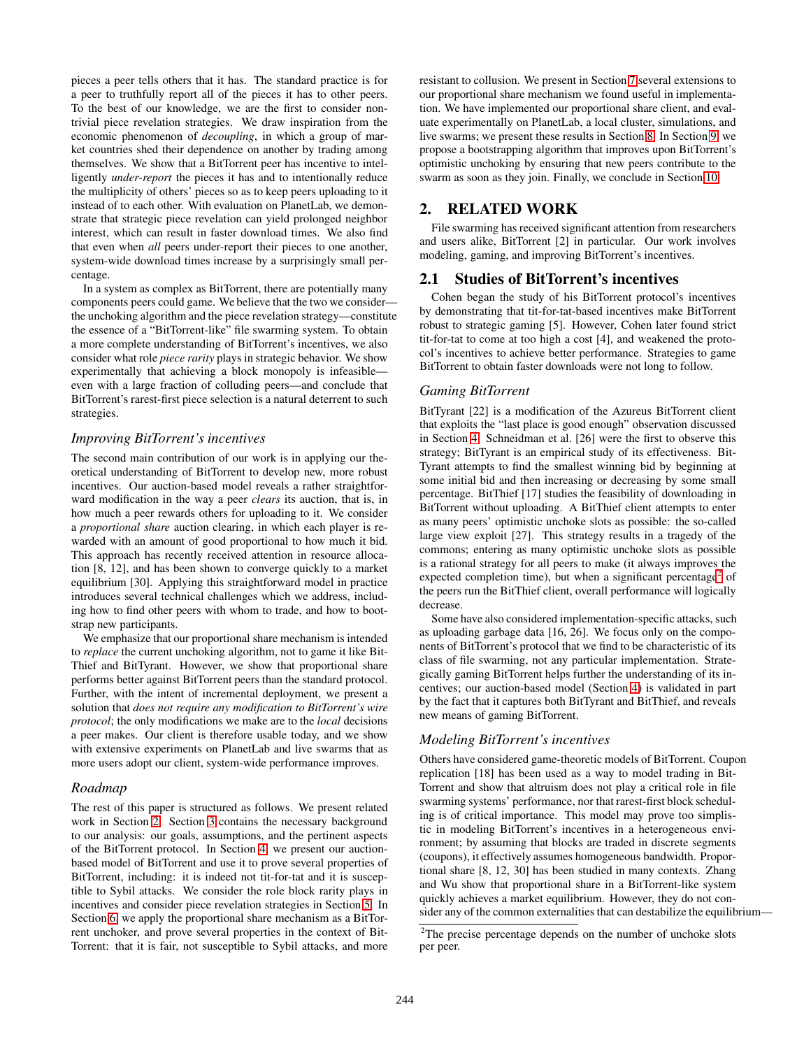pieces a peer tells others that it has. The standard practice is for a peer to truthfully report all of the pieces it has to other peers. To the best of our knowledge, we are the first to consider nontrivial piece revelation strategies. We draw inspiration from the economic phenomenon of *decoupling*, in which a group of market countries shed their dependence on another by trading among themselves. We show that a BitTorrent peer has incentive to intelligently *under-report* the pieces it has and to intentionally reduce the multiplicity of others' pieces so as to keep peers uploading to it instead of to each other. With evaluation on PlanetLab, we demonstrate that strategic piece revelation can yield prolonged neighbor interest, which can result in faster download times. We also find that even when *all* peers under-report their pieces to one another, system-wide download times increase by a surprisingly small percentage.

In a system as complex as BitTorrent, there are potentially many components peers could game. We believe that the two we consider the unchoking algorithm and the piece revelation strategy—constitute the essence of a "BitTorrent-like" file swarming system. To obtain a more complete understanding of BitTorrent's incentives, we also consider what role *piece rarity* plays in strategic behavior. We show experimentally that achieving a block monopoly is infeasible even with a large fraction of colluding peers—and conclude that BitTorrent's rarest-first piece selection is a natural deterrent to such strategies.

#### *Improving BitTorrent's incentives*

The second main contribution of our work is in applying our theoretical understanding of BitTorrent to develop new, more robust incentives. Our auction-based model reveals a rather straightforward modification in the way a peer *clears* its auction, that is, in how much a peer rewards others for uploading to it. We consider a *proportional share* auction clearing, in which each player is rewarded with an amount of good proportional to how much it bid. This approach has recently received attention in resource allocation [8, 12], and has been shown to converge quickly to a market equilibrium [30]. Applying this straightforward model in practice introduces several technical challenges which we address, including how to find other peers with whom to trade, and how to bootstrap new participants.

We emphasize that our proportional share mechanism is intended to *replace* the current unchoking algorithm, not to game it like Bit-Thief and BitTyrant. However, we show that proportional share performs better against BitTorrent peers than the standard protocol. Further, with the intent of incremental deployment, we present a solution that *does not require any modification to BitTorrent's wire protocol*; the only modifications we make are to the *local* decisions a peer makes. Our client is therefore usable today, and we show with extensive experiments on PlanetLab and live swarms that as more users adopt our client, system-wide performance improves.

#### *Roadmap*

The rest of this paper is structured as follows. We present related work in Section [2.](#page-1-0) Section [3](#page-2-0) contains the necessary background to our analysis: our goals, assumptions, and the pertinent aspects of the BitTorrent protocol. In Section [4,](#page-3-0) we present our auctionbased model of BitTorrent and use it to prove several properties of BitTorrent, including: it is indeed not tit-for-tat and it is susceptible to Sybil attacks. We consider the role block rarity plays in incentives and consider piece revelation strategies in Section [5.](#page-4-0) In Section [6,](#page-6-0) we apply the proportional share mechanism as a BitTorrent unchoker, and prove several properties in the context of Bit-Torrent: that it is fair, not susceptible to Sybil attacks, and more

resistant to collusion. We present in Section [7](#page-8-0) several extensions to our proportional share mechanism we found useful in implementation. We have implemented our proportional share client, and evaluate experimentally on PlanetLab, a local cluster, simulations, and live swarms; we present these results in Section [8.](#page-9-0) In Section [9,](#page-10-0) we propose a bootstrapping algorithm that improves upon BitTorrent's optimistic unchoking by ensuring that new peers contribute to the swarm as soon as they join. Finally, we conclude in Section [10.](#page-11-0)

# <span id="page-1-0"></span>**2. RELATED WORK**

File swarming has received significant attention from researchers and users alike, BitTorrent [2] in particular. Our work involves modeling, gaming, and improving BitTorrent's incentives.

#### **2.1 Studies of BitTorrent's incentives**

Cohen began the study of his BitTorrent protocol's incentives by demonstrating that tit-for-tat-based incentives make BitTorrent robust to strategic gaming [5]. However, Cohen later found strict tit-for-tat to come at too high a cost [4], and weakened the protocol's incentives to achieve better performance. Strategies to game BitTorrent to obtain faster downloads were not long to follow.

#### *Gaming BitTorrent*

BitTyrant [22] is a modification of the Azureus BitTorrent client that exploits the "last place is good enough" observation discussed in Section [4.](#page-3-0) Schneidman et al. [26] were the first to observe this strategy; BitTyrant is an empirical study of its effectiveness. Bit-Tyrant attempts to find the smallest winning bid by beginning at some initial bid and then increasing or decreasing by some small percentage. BitThief [17] studies the feasibility of downloading in BitTorrent without uploading. A BitThief client attempts to enter as many peers' optimistic unchoke slots as possible: the so-called large view exploit [27]. This strategy results in a tragedy of the commons; entering as many optimistic unchoke slots as possible is a rational strategy for all peers to make (it always improves the expected completion time), but when a significant percentage<sup>2</sup> of the peers run the BitThief client, overall performance will logically decrease.

Some have also considered implementation-specific attacks, such as uploading garbage data [16, 26]. We focus only on the components of BitTorrent's protocol that we find to be characteristic of its class of file swarming, not any particular implementation. Strategically gaming BitTorrent helps further the understanding of its incentives; our auction-based model (Section [4\)](#page-3-0) is validated in part by the fact that it captures both BitTyrant and BitThief, and reveals new means of gaming BitTorrent.

#### *Modeling BitTorrent's incentives*

Others have considered game-theoretic models of BitTorrent. Coupon replication [18] has been used as a way to model trading in Bit-Torrent and show that altruism does not play a critical role in file swarming systems' performance, nor that rarest-first block scheduling is of critical importance. This model may prove too simplistic in modeling BitTorrent's incentives in a heterogeneous environment; by assuming that blocks are traded in discrete segments (coupons), it effectively assumes homogeneous bandwidth. Proportional share [8, 12, 30] has been studied in many contexts. Zhang and Wu show that proportional share in a BitTorrent-like system quickly achieves a market equilibrium. However, they do not consider any of the common externalities that can destabilize the equilibrium—

<span id="page-1-1"></span> $2$ The precise percentage depends on the number of unchoke slots per peer.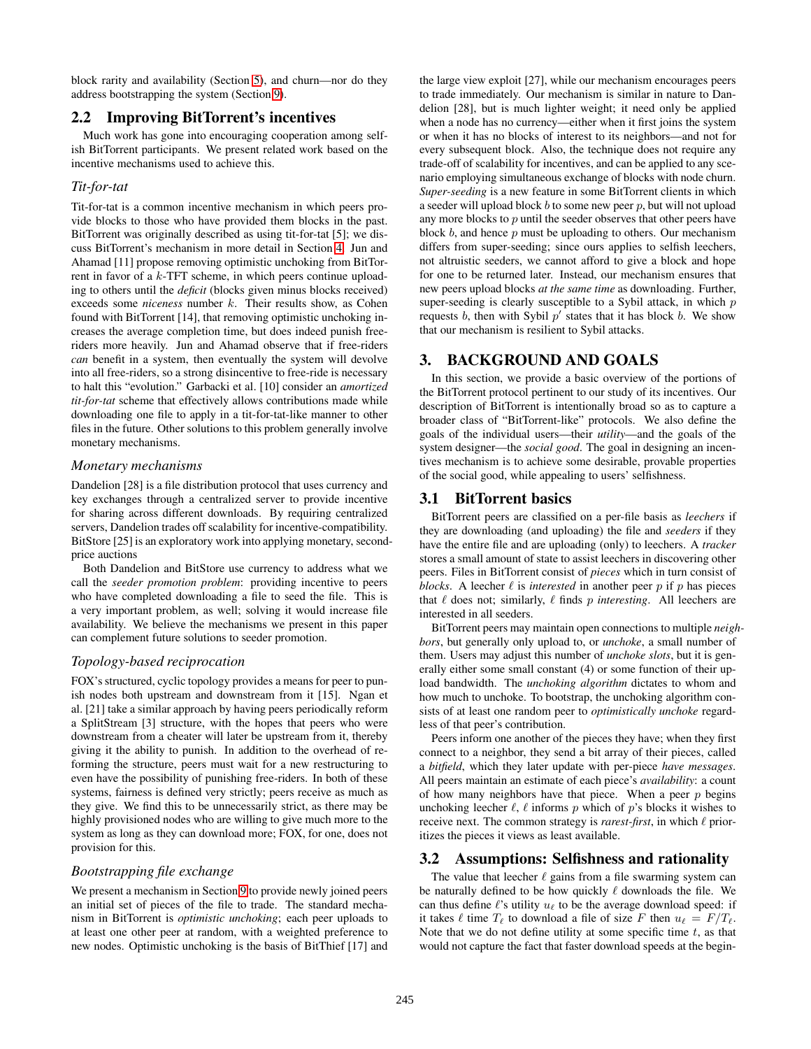block rarity and availability (Section [5\)](#page-4-0), and churn—nor do they address bootstrapping the system (Section [9\)](#page-10-0).

# **2.2 Improving BitTorrent's incentives**

Much work has gone into encouraging cooperation among selfish BitTorrent participants. We present related work based on the incentive mechanisms used to achieve this.

# *Tit-for-tat*

Tit-for-tat is a common incentive mechanism in which peers provide blocks to those who have provided them blocks in the past. BitTorrent was originally described as using tit-for-tat [5]; we discuss BitTorrent's mechanism in more detail in Section [4.](#page-3-0) Jun and Ahamad [11] propose removing optimistic unchoking from BitTorrent in favor of a k-TFT scheme, in which peers continue uploading to others until the *deficit* (blocks given minus blocks received) exceeds some *niceness* number k. Their results show, as Cohen found with BitTorrent [14], that removing optimistic unchoking increases the average completion time, but does indeed punish freeriders more heavily. Jun and Ahamad observe that if free-riders *can* benefit in a system, then eventually the system will devolve into all free-riders, so a strong disincentive to free-ride is necessary to halt this "evolution." Garbacki et al. [10] consider an *amortized tit-for-tat* scheme that effectively allows contributions made while downloading one file to apply in a tit-for-tat-like manner to other files in the future. Other solutions to this problem generally involve monetary mechanisms.

# *Monetary mechanisms*

Dandelion [28] is a file distribution protocol that uses currency and key exchanges through a centralized server to provide incentive for sharing across different downloads. By requiring centralized servers, Dandelion trades off scalability for incentive-compatibility. BitStore [25] is an exploratory work into applying monetary, secondprice auctions

Both Dandelion and BitStore use currency to address what we call the *seeder promotion problem*: providing incentive to peers who have completed downloading a file to seed the file. This is a very important problem, as well; solving it would increase file availability. We believe the mechanisms we present in this paper can complement future solutions to seeder promotion.

# *Topology-based reciprocation*

FOX's structured, cyclic topology provides a means for peer to punish nodes both upstream and downstream from it [15]. Ngan et al. [21] take a similar approach by having peers periodically reform a SplitStream [3] structure, with the hopes that peers who were downstream from a cheater will later be upstream from it, thereby giving it the ability to punish. In addition to the overhead of reforming the structure, peers must wait for a new restructuring to even have the possibility of punishing free-riders. In both of these systems, fairness is defined very strictly; peers receive as much as they give. We find this to be unnecessarily strict, as there may be highly provisioned nodes who are willing to give much more to the system as long as they can download more; FOX, for one, does not provision for this.

# *Bootstrapping file exchange*

We present a mechanism in Section [9](#page-10-0) to provide newly joined peers an initial set of pieces of the file to trade. The standard mechanism in BitTorrent is *optimistic unchoking*; each peer uploads to at least one other peer at random, with a weighted preference to new nodes. Optimistic unchoking is the basis of BitThief [17] and the large view exploit [27], while our mechanism encourages peers to trade immediately. Our mechanism is similar in nature to Dandelion [28], but is much lighter weight; it need only be applied when a node has no currency—either when it first joins the system or when it has no blocks of interest to its neighbors—and not for every subsequent block. Also, the technique does not require any trade-off of scalability for incentives, and can be applied to any scenario employing simultaneous exchange of blocks with node churn. *Super-seeding* is a new feature in some BitTorrent clients in which a seeder will upload block  $b$  to some new peer  $p$ , but will not upload any more blocks to p until the seeder observes that other peers have block  $b$ , and hence  $p$  must be uploading to others. Our mechanism differs from super-seeding; since ours applies to selfish leechers, not altruistic seeders, we cannot afford to give a block and hope for one to be returned later. Instead, our mechanism ensures that new peers upload blocks *at the same time* as downloading. Further, super-seeding is clearly susceptible to a Sybil attack, in which p requests b, then with Sybil  $p'$  states that it has block b. We show that our mechanism is resilient to Sybil attacks.

# <span id="page-2-0"></span>**3. BACKGROUND AND GOALS**

In this section, we provide a basic overview of the portions of the BitTorrent protocol pertinent to our study of its incentives. Our description of BitTorrent is intentionally broad so as to capture a broader class of "BitTorrent-like" protocols. We also define the goals of the individual users—their *utility*—and the goals of the system designer—the *social good*. The goal in designing an incentives mechanism is to achieve some desirable, provable properties of the social good, while appealing to users' selfishness.

# **3.1 BitTorrent basics**

BitTorrent peers are classified on a per-file basis as *leechers* if they are downloading (and uploading) the file and *seeders* if they have the entire file and are uploading (only) to leechers. A *tracker* stores a small amount of state to assist leechers in discovering other peers. Files in BitTorrent consist of *pieces* which in turn consist of *blocks*. A leecher  $\ell$  is *interested* in another peer p if p has pieces that  $\ell$  does not; similarly,  $\ell$  finds  $p$  *interesting*. All leechers are interested in all seeders.

BitTorrent peers may maintain open connections to multiple *neighbors*, but generally only upload to, or *unchoke*, a small number of them. Users may adjust this number of *unchoke slots*, but it is generally either some small constant (4) or some function of their upload bandwidth. The *unchoking algorithm* dictates to whom and how much to unchoke. To bootstrap, the unchoking algorithm consists of at least one random peer to *optimistically unchoke* regardless of that peer's contribution.

Peers inform one another of the pieces they have; when they first connect to a neighbor, they send a bit array of their pieces, called a *bitfield*, which they later update with per-piece *have messages*. All peers maintain an estimate of each piece's *availability*: a count of how many neighbors have that piece. When a peer  $p$  begins unchoking leecher  $\ell$ ,  $\ell$  informs p which of p's blocks it wishes to receive next. The common strategy is *rarest-first*, in which  $\ell$  prioritizes the pieces it views as least available.

# **3.2 Assumptions: Selfishness and rationality**

The value that leecher  $\ell$  gains from a file swarming system can be naturally defined to be how quickly  $\ell$  downloads the file. We can thus define  $\ell$ 's utility  $u_{\ell}$  to be the average download speed: if it takes  $\ell$  time  $T_{\ell}$  to download a file of size F then  $u_{\ell} = F/T_{\ell}$ . Note that we do not define utility at some specific time  $t$ , as that would not capture the fact that faster download speeds at the begin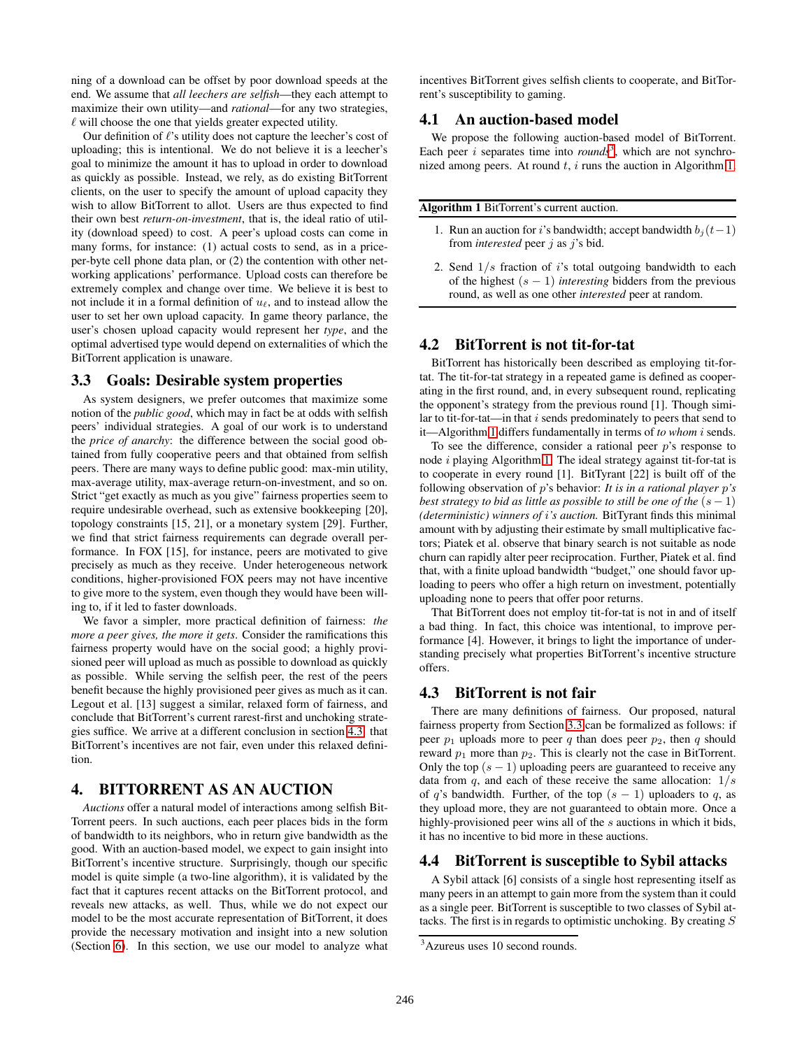ning of a download can be offset by poor download speeds at the end. We assume that *all leechers are selfish*—they each attempt to maximize their own utility—and *rational*—for any two strategies,  $\ell$  will choose the one that yields greater expected utility.

Our definition of  $\ell$ 's utility does not capture the leecher's cost of uploading; this is intentional. We do not believe it is a leecher's goal to minimize the amount it has to upload in order to download as quickly as possible. Instead, we rely, as do existing BitTorrent clients, on the user to specify the amount of upload capacity they wish to allow BitTorrent to allot. Users are thus expected to find their own best *return-on-investment*, that is, the ideal ratio of utility (download speed) to cost. A peer's upload costs can come in many forms, for instance: (1) actual costs to send, as in a priceper-byte cell phone data plan, or (2) the contention with other networking applications' performance. Upload costs can therefore be extremely complex and change over time. We believe it is best to not include it in a formal definition of  $u_{\ell}$ , and to instead allow the user to set her own upload capacity. In game theory parlance, the user's chosen upload capacity would represent her *type*, and the optimal advertised type would depend on externalities of which the BitTorrent application is unaware.

# <span id="page-3-4"></span>**3.3 Goals: Desirable system properties**

As system designers, we prefer outcomes that maximize some notion of the *public good*, which may in fact be at odds with selfish peers' individual strategies. A goal of our work is to understand the *price of anarchy*: the difference between the social good obtained from fully cooperative peers and that obtained from selfish peers. There are many ways to define public good: max-min utility, max-average utility, max-average return-on-investment, and so on. Strict "get exactly as much as you give" fairness properties seem to require undesirable overhead, such as extensive bookkeeping [20], topology constraints [15, 21], or a monetary system [29]. Further, we find that strict fairness requirements can degrade overall performance. In FOX [15], for instance, peers are motivated to give precisely as much as they receive. Under heterogeneous network conditions, higher-provisioned FOX peers may not have incentive to give more to the system, even though they would have been willing to, if it led to faster downloads.

We favor a simpler, more practical definition of fairness: *the more a peer gives, the more it gets*. Consider the ramifications this fairness property would have on the social good; a highly provisioned peer will upload as much as possible to download as quickly as possible. While serving the selfish peer, the rest of the peers benefit because the highly provisioned peer gives as much as it can. Legout et al. [13] suggest a similar, relaxed form of fairness, and conclude that BitTorrent's current rarest-first and unchoking strategies suffice. We arrive at a different conclusion in section [4.3:](#page-3-1) that BitTorrent's incentives are not fair, even under this relaxed definition.

# <span id="page-3-0"></span>**4. BITTORRENT AS AN AUCTION**

*Auctions* offer a natural model of interactions among selfish Bit-Torrent peers. In such auctions, each peer places bids in the form of bandwidth to its neighbors, who in return give bandwidth as the good. With an auction-based model, we expect to gain insight into BitTorrent's incentive structure. Surprisingly, though our specific model is quite simple (a two-line algorithm), it is validated by the fact that it captures recent attacks on the BitTorrent protocol, and reveals new attacks, as well. Thus, while we do not expect our model to be the most accurate representation of BitTorrent, it does provide the necessary motivation and insight into a new solution (Section [6\)](#page-6-0). In this section, we use our model to analyze what

incentives BitTorrent gives selfish clients to cooperate, and BitTorrent's susceptibility to gaming.

# **4.1 An auction-based model**

We propose the following auction-based model of BitTorrent. Each peer  $i$  separates time into *rounds*<sup>[3](#page-3-2)</sup>, which are not synchronized among peers. At round  $t$ ,  $i$  runs the auction in Algorithm [1.](#page-3-3)

#### **Algorithm 1** BitTorrent's current auction.

- 1. Run an auction for i's bandwidth; accept bandwidth  $b_i(t-1)$ from *interested* peer j as j's bid.
- 2. Send  $1/s$  fraction of i's total outgoing bandwidth to each of the highest  $(s - 1)$  *interesting* bidders from the previous round, as well as one other *interested* peer at random.

# <span id="page-3-3"></span>**4.2 BitTorrent is not tit-for-tat**

BitTorrent has historically been described as employing tit-fortat. The tit-for-tat strategy in a repeated game is defined as cooperating in the first round, and, in every subsequent round, replicating the opponent's strategy from the previous round [1]. Though similar to tit-for-tat—in that i sends predominately to peers that send to it—Algorithm [1](#page-3-3) differs fundamentally in terms of *to whom* i sends.

To see the difference, consider a rational peer  $p$ 's response to node i playing Algorithm [1.](#page-3-3) The ideal strategy against tit-for-tat is to cooperate in every round [1]. BitTyrant [22] is built off of the following observation of p's behavior: *It is in a rational player* p*'s best strategy to bid as little as possible to still be one of the*  $(s - 1)$ *(deterministic) winners of* i*'s auction.* BitTyrant finds this minimal amount with by adjusting their estimate by small multiplicative factors; Piatek et al. observe that binary search is not suitable as node churn can rapidly alter peer reciprocation. Further, Piatek et al. find that, with a finite upload bandwidth "budget," one should favor uploading to peers who offer a high return on investment, potentially uploading none to peers that offer poor returns.

That BitTorrent does not employ tit-for-tat is not in and of itself a bad thing. In fact, this choice was intentional, to improve performance [4]. However, it brings to light the importance of understanding precisely what properties BitTorrent's incentive structure offers.

# <span id="page-3-1"></span>**4.3 BitTorrent is not fair**

There are many definitions of fairness. Our proposed, natural fairness property from Section [3.3](#page-3-4) can be formalized as follows: if peer  $p_1$  uploads more to peer q than does peer  $p_2$ , then q should reward  $p_1$  more than  $p_2$ . This is clearly not the case in BitTorrent. Only the top  $(s - 1)$  uploading peers are guaranteed to receive any data from  $q$ , and each of these receive the same allocation:  $1/s$ of q's bandwidth. Further, of the top  $(s - 1)$  uploaders to q, as they upload more, they are not guaranteed to obtain more. Once a highly-provisioned peer wins all of the s auctions in which it bids, it has no incentive to bid more in these auctions.

# <span id="page-3-5"></span>**4.4 BitTorrent is susceptible to Sybil attacks**

A Sybil attack [6] consists of a single host representing itself as many peers in an attempt to gain more from the system than it could as a single peer. BitTorrent is susceptible to two classes of Sybil attacks. The first is in regards to optimistic unchoking. By creating  $S$ 

<span id="page-3-2"></span><sup>3</sup> Azureus uses 10 second rounds.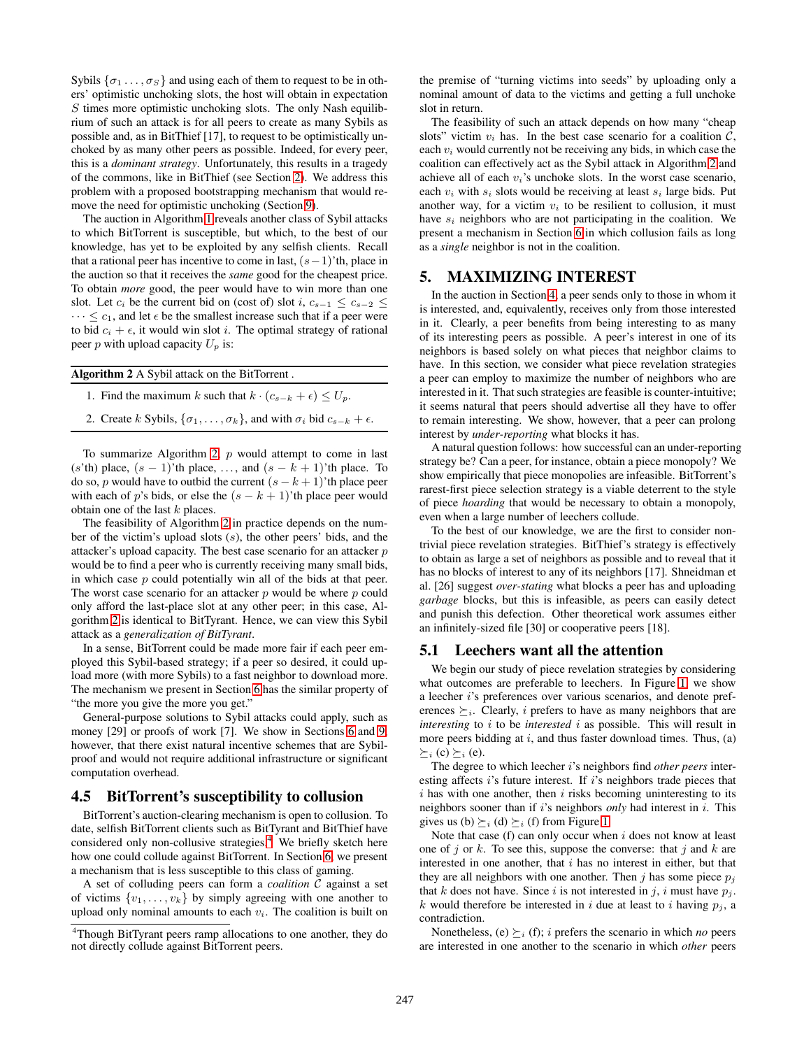Sybils  $\{\sigma_1 \dots, \sigma_S\}$  and using each of them to request to be in others' optimistic unchoking slots, the host will obtain in expectation  $S$  times more optimistic unchoking slots. The only Nash equilibrium of such an attack is for all peers to create as many Sybils as possible and, as in BitThief [17], to request to be optimistically unchoked by as many other peers as possible. Indeed, for every peer, this is a *dominant strategy*. Unfortunately, this results in a tragedy of the commons, like in BitThief (see Section [2\)](#page-1-0). We address this problem with a proposed bootstrapping mechanism that would remove the need for optimistic unchoking (Section [9\)](#page-10-0).

The auction in Algorithm [1](#page-3-3) reveals another class of Sybil attacks to which BitTorrent is susceptible, but which, to the best of our knowledge, has yet to be exploited by any selfish clients. Recall that a rational peer has incentive to come in last,  $(s-1)$ 'th, place in the auction so that it receives the *same* good for the cheapest price. To obtain *more* good, the peer would have to win more than one slot. Let  $c_i$  be the current bid on (cost of) slot  $i, c_{s-1} \leq c_{s-2} \leq$  $\cdots \leq c_1$ , and let  $\epsilon$  be the smallest increase such that if a peer were to bid  $c_i + \epsilon$ , it would win slot i. The optimal strategy of rational peer p with upload capacity  $U_p$  is:

| Algorithm 2 A Sybil attack on the BitTorrent. |  |  |  |  |  |
|-----------------------------------------------|--|--|--|--|--|
|-----------------------------------------------|--|--|--|--|--|

- 1. Find the maximum k such that  $k \cdot (c_{s-k} + \epsilon) \le U_p$ .
- 2. Create k Sybils,  $\{\sigma_1,\ldots,\sigma_k\}$ , and with  $\sigma_i$  bid  $c_{s-k} + \epsilon$ .

<span id="page-4-1"></span>To summarize Algorithm [2,](#page-4-1)  $p$  would attempt to come in last (s'th) place,  $(s - 1)$ 'th place, ..., and  $(s - k + 1)$ 'th place. To do so, p would have to outbid the current  $(s - k + 1)$ 'th place peer with each of p's bids, or else the  $(s - k + 1)$ 'th place peer would obtain one of the last  $k$  places.

The feasibility of Algorithm [2](#page-4-1) in practice depends on the number of the victim's upload slots  $(s)$ , the other peers' bids, and the attacker's upload capacity. The best case scenario for an attacker  $p$ would be to find a peer who is currently receiving many small bids, in which case  $p$  could potentially win all of the bids at that peer. The worst case scenario for an attacker  $p$  would be where  $p$  could only afford the last-place slot at any other peer; in this case, Algorithm [2](#page-4-1) is identical to BitTyrant. Hence, we can view this Sybil attack as a *generalization of BitTyrant*.

In a sense, BitTorrent could be made more fair if each peer employed this Sybil-based strategy; if a peer so desired, it could upload more (with more Sybils) to a fast neighbor to download more. The mechanism we present in Section [6](#page-6-0) has the similar property of "the more you give the more you get."

General-purpose solutions to Sybil attacks could apply, such as money [29] or proofs of work [7]. We show in Sections [6](#page-6-0) and [9,](#page-10-0) however, that there exist natural incentive schemes that are Sybilproof and would not require additional infrastructure or significant computation overhead.

#### **4.5 BitTorrent's susceptibility to collusion**

BitTorrent's auction-clearing mechanism is open to collusion. To date, selfish BitTorrent clients such as BitTyrant and BitThief have considered only non-collusive strategies.<sup>[4](#page-4-2)</sup> We briefly sketch here how one could collude against BitTorrent. In Section [6,](#page-6-0) we present a mechanism that is less susceptible to this class of gaming.

A set of colluding peers can form a *coalition* C against a set of victims  $\{v_1, \ldots, v_k\}$  by simply agreeing with one another to upload only nominal amounts to each  $v_i$ . The coalition is built on the premise of "turning victims into seeds" by uploading only a nominal amount of data to the victims and getting a full unchoke slot in return.

The feasibility of such an attack depends on how many "cheap slots" victim  $v_i$  has. In the best case scenario for a coalition  $\mathcal{C}$ , each  $v_i$  would currently not be receiving any bids, in which case the coalition can effectively act as the Sybil attack in Algorithm [2](#page-4-1) and achieve all of each  $v_i$ 's unchoke slots. In the worst case scenario, each  $v_i$  with  $s_i$  slots would be receiving at least  $s_i$  large bids. Put another way, for a victim  $v_i$  to be resilient to collusion, it must have  $s_i$  neighbors who are not participating in the coalition. We present a mechanism in Section [6](#page-6-0) in which collusion fails as long as a *single* neighbor is not in the coalition.

# <span id="page-4-0"></span>**5. MAXIMIZING INTEREST**

In the auction in Section [4,](#page-3-0) a peer sends only to those in whom it is interested, and, equivalently, receives only from those interested in it. Clearly, a peer benefits from being interesting to as many of its interesting peers as possible. A peer's interest in one of its neighbors is based solely on what pieces that neighbor claims to have. In this section, we consider what piece revelation strategies a peer can employ to maximize the number of neighbors who are interested in it. That such strategies are feasible is counter-intuitive; it seems natural that peers should advertise all they have to offer to remain interesting. We show, however, that a peer can prolong interest by *under-reporting* what blocks it has.

A natural question follows: how successful can an under-reporting strategy be? Can a peer, for instance, obtain a piece monopoly? We show empirically that piece monopolies are infeasible. BitTorrent's rarest-first piece selection strategy is a viable deterrent to the style of piece *hoarding* that would be necessary to obtain a monopoly, even when a large number of leechers collude.

To the best of our knowledge, we are the first to consider nontrivial piece revelation strategies. BitThief's strategy is effectively to obtain as large a set of neighbors as possible and to reveal that it has no blocks of interest to any of its neighbors [17]. Shneidman et al. [26] suggest *over-stating* what blocks a peer has and uploading *garbage* blocks, but this is infeasible, as peers can easily detect and punish this defection. Other theoretical work assumes either an infinitely-sized file [30] or cooperative peers [18].

#### **5.1 Leechers want all the attention**

We begin our study of piece revelation strategies by considering what outcomes are preferable to leechers. In Figure [1,](#page-5-0) we show a leecher i's preferences over various scenarios, and denote preferences  $\succeq_i$ . Clearly, *i* prefers to have as many neighbors that are *interesting* to *i* to be *interested i* as possible. This will result in more peers bidding at  $i$ , and thus faster download times. Thus, (a)  $\succeq_i$  (c)  $\succeq_i$  (e).

The degree to which leecher i's neighbors find *other peers* interesting affects i's future interest. If i's neighbors trade pieces that  $i$  has with one another, then  $i$  risks becoming uninteresting to its neighbors sooner than if i's neighbors *only* had interest in i. This gives us (b)  $\geq_i$  (d)  $\geq_i$  (f) from Figure [1.](#page-5-0)

Note that case  $(f)$  can only occur when i does not know at least one of j or k. To see this, suppose the converse: that j and k are interested in one another, that  $i$  has no interest in either, but that they are all neighbors with one another. Then j has some piece  $p_i$ that k does not have. Since i is not interested in j, i must have  $p_i$ . k would therefore be interested in i due at least to i having  $p_i$ , a contradiction.

Nonetheless, (e)  $\geq_i$  (f); *i* prefers the scenario in which *no* peers are interested in one another to the scenario in which *other* peers

<span id="page-4-2"></span><sup>4</sup> Though BitTyrant peers ramp allocations to one another, they do not directly collude against BitTorrent peers.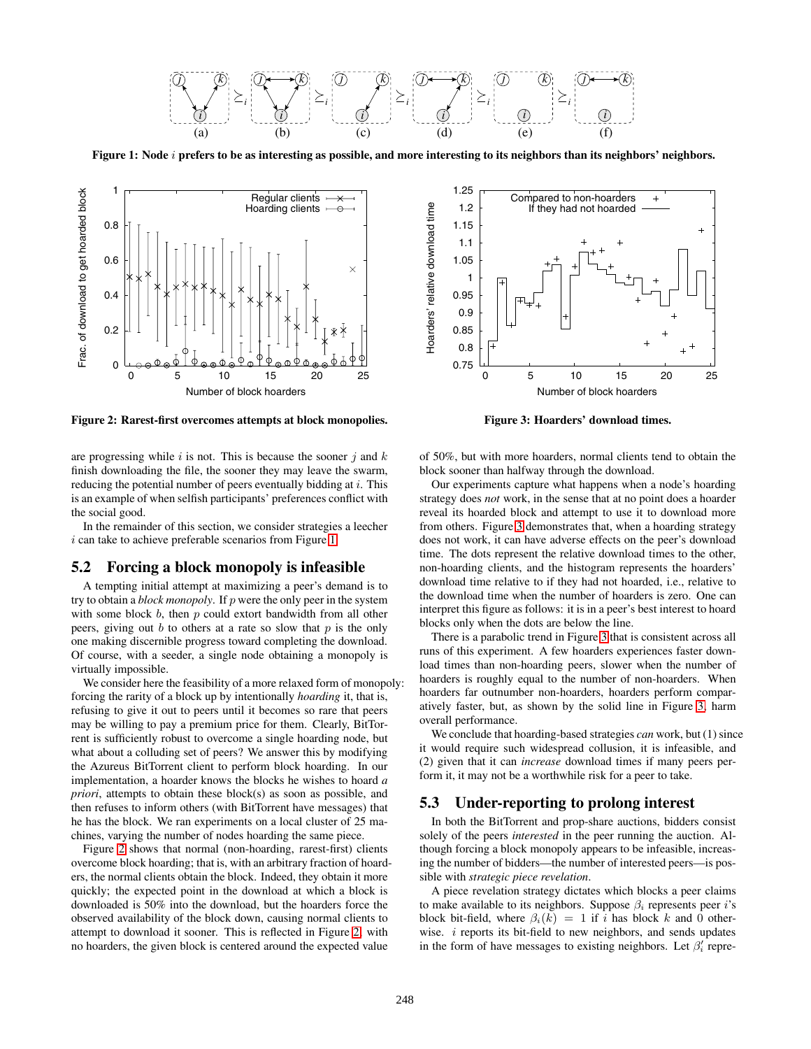

**Figure 1: Node** i **prefers to be as interesting as possible, and more interesting to its neighbors than its neighbors' neighbors.**



**Figure 2: Rarest-first overcomes attempts at block monopolies.**

are progressing while  $i$  is not. This is because the sooner  $j$  and  $k$ finish downloading the file, the sooner they may leave the swarm, reducing the potential number of peers eventually bidding at  $i$ . This is an example of when selfish participants' preferences conflict with the social good.

In the remainder of this section, we consider strategies a leecher i can take to achieve preferable scenarios from Figure [1.](#page-5-0)

# **5.2 Forcing a block monopoly is infeasible**

A tempting initial attempt at maximizing a peer's demand is to try to obtain a *block monopoly*. If p were the only peer in the system with some block  $b$ , then  $p$  could extort bandwidth from all other peers, giving out b to others at a rate so slow that  $p$  is the only one making discernible progress toward completing the download. Of course, with a seeder, a single node obtaining a monopoly is virtually impossible.

We consider here the feasibility of a more relaxed form of monopoly: forcing the rarity of a block up by intentionally *hoarding* it, that is, refusing to give it out to peers until it becomes so rare that peers may be willing to pay a premium price for them. Clearly, BitTorrent is sufficiently robust to overcome a single hoarding node, but what about a colluding set of peers? We answer this by modifying the Azureus BitTorrent client to perform block hoarding. In our implementation, a hoarder knows the blocks he wishes to hoard *a priori*, attempts to obtain these block(s) as soon as possible, and then refuses to inform others (with BitTorrent have messages) that he has the block. We ran experiments on a local cluster of 25 machines, varying the number of nodes hoarding the same piece.

Figure [2](#page-5-1) shows that normal (non-hoarding, rarest-first) clients overcome block hoarding; that is, with an arbitrary fraction of hoarders, the normal clients obtain the block. Indeed, they obtain it more quickly; the expected point in the download at which a block is downloaded is 50% into the download, but the hoarders force the observed availability of the block down, causing normal clients to attempt to download it sooner. This is reflected in Figure [2;](#page-5-1) with no hoarders, the given block is centered around the expected value

<span id="page-5-0"></span>

<span id="page-5-2"></span>**Figure 3: Hoarders' download times.**

<span id="page-5-1"></span>of 50%, but with more hoarders, normal clients tend to obtain the block sooner than halfway through the download.

Our experiments capture what happens when a node's hoarding strategy does *not* work, in the sense that at no point does a hoarder reveal its hoarded block and attempt to use it to download more from others. Figure [3](#page-5-2) demonstrates that, when a hoarding strategy does not work, it can have adverse effects on the peer's download time. The dots represent the relative download times to the other, non-hoarding clients, and the histogram represents the hoarders' download time relative to if they had not hoarded, i.e., relative to the download time when the number of hoarders is zero. One can interpret this figure as follows: it is in a peer's best interest to hoard blocks only when the dots are below the line.

There is a parabolic trend in Figure [3](#page-5-2) that is consistent across all runs of this experiment. A few hoarders experiences faster download times than non-hoarding peers, slower when the number of hoarders is roughly equal to the number of non-hoarders. When hoarders far outnumber non-hoarders, hoarders perform comparatively faster, but, as shown by the solid line in Figure [3,](#page-5-2) harm overall performance.

We conclude that hoarding-based strategies *can* work, but (1) since it would require such widespread collusion, it is infeasible, and (2) given that it can *increase* download times if many peers perform it, it may not be a worthwhile risk for a peer to take.

#### **5.3 Under-reporting to prolong interest**

In both the BitTorrent and prop-share auctions, bidders consist solely of the peers *interested* in the peer running the auction. Although forcing a block monopoly appears to be infeasible, increasing the number of bidders—the number of interested peers—is possible with *strategic piece revelation*.

A piece revelation strategy dictates which blocks a peer claims to make available to its neighbors. Suppose  $\beta_i$  represents peer i's block bit-field, where  $\beta_i(k)=1$  if i has block k and 0 otherwise.  $i$  reports its bit-field to new neighbors, and sends updates in the form of have messages to existing neighbors. Let  $\beta_i$  repre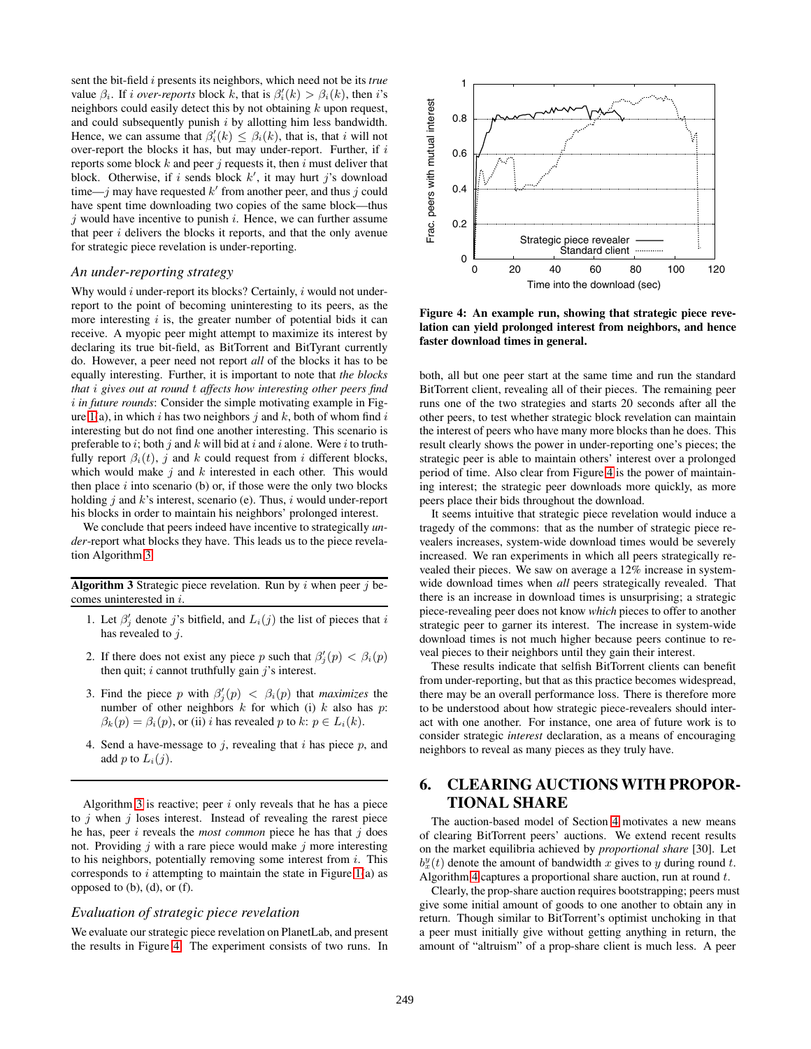sent the bit-field i presents its neighbors, which need not be its *true* value  $\beta_i$ . If *i* over-reports block k, that is  $\beta'_i(k) > \beta_i(k)$ , then *i*'s neighbors could easily detect this by not obtaining  $k$  upon request, and could subsequently punish  $i$  by allotting him less bandwidth. Hence, we can assume that  $\beta_i'(k) \leq \beta_i(k)$ , that is, that i will not over-report the blocks it has, but may under-report. Further, if  $i$ reports some block  $k$  and peer  $j$  requests it, then  $i$  must deliver that block. Otherwise, if i sends block  $k'$ , it may hurt j's download time— $j$  may have requested  $k'$  from another peer, and thus  $j$  could have spent time downloading two copies of the same block—thus  $j$  would have incentive to punish  $i$ . Hence, we can further assume that peer  $i$  delivers the blocks it reports, and that the only avenue for strategic piece revelation is under-reporting.

#### *An under-reporting strategy*

Why would  $i$  under-report its blocks? Certainly,  $i$  would not underreport to the point of becoming uninteresting to its peers, as the more interesting  $i$  is, the greater number of potential bids it can receive. A myopic peer might attempt to maximize its interest by declaring its true bit-field, as BitTorrent and BitTyrant currently do. However, a peer need not report *all* of the blocks it has to be equally interesting. Further, it is important to note that *the blocks that* i *gives out at round* t *affects how interesting other peers find* i *in future rounds*: Consider the simple motivating example in Fig-ure [1\(](#page-5-0)a), in which i has two neighbors j and k, both of whom find i interesting but do not find one another interesting. This scenario is preferable to i; both j and k will bid at i and i alone. Were i to truthfully report  $\beta_i(t)$ , j and k could request from i different blocks, which would make  $j$  and  $k$  interested in each other. This would then place  $i$  into scenario (b) or, if those were the only two blocks holding  $j$  and  $k$ 's interest, scenario (e). Thus,  $i$  would under-report his blocks in order to maintain his neighbors' prolonged interest.

We conclude that peers indeed have incentive to strategically *under*-report what blocks they have. This leads us to the piece revelation Algorithm [3.](#page-6-1)

**Algorithm 3** Strategic piece revelation. Run by  $i$  when peer  $j$  becomes uninterested in i.

- 1. Let  $\beta'_j$  denote j's bitfield, and  $L_i(j)$  the list of pieces that i has revealed to j.
- 2. If there does not exist any piece p such that  $\beta_j'(p) < \beta_i(p)$ then quit;  $i$  cannot truthfully gain  $j$ 's interest.
- 3. Find the piece p with  $\beta_j'(p) < \beta_i(p)$  that *maximizes* the number of other neighbors  $k$  for which (i)  $k$  also has  $p$ :  $\beta_k(p) = \beta_i(p)$ , or (ii) *i* has revealed *p* to *k*:  $p \in L_i(k)$ .
- 4. Send a have-message to  $j$ , revealing that i has piece  $p$ , and add p to  $L_i(j)$ .

<span id="page-6-1"></span>Algorithm [3](#page-6-1) is reactive; peer  $i$  only reveals that he has a piece to  $j$  when  $j$  loses interest. Instead of revealing the rarest piece he has, peer i reveals the *most common* piece he has that j does not. Providing  $j$  with a rare piece would make  $j$  more interesting to his neighbors, potentially removing some interest from  $i$ . This corresponds to  $i$  attempting to maintain the state in Figure [1\(](#page-5-0)a) as opposed to (b), (d), or (f).

#### *Evaluation of strategic piece revelation*

We evaluate our strategic piece revelation on PlanetLab, and present the results in Figure [4.](#page-6-2) The experiment consists of two runs. In



<span id="page-6-2"></span>**Figure 4: An example run, showing that strategic piece revelation can yield prolonged interest from neighbors, and hence faster download times in general.**

both, all but one peer start at the same time and run the standard BitTorrent client, revealing all of their pieces. The remaining peer runs one of the two strategies and starts 20 seconds after all the other peers, to test whether strategic block revelation can maintain the interest of peers who have many more blocks than he does. This result clearly shows the power in under-reporting one's pieces; the strategic peer is able to maintain others' interest over a prolonged period of time. Also clear from Figure [4](#page-6-2) is the power of maintaining interest; the strategic peer downloads more quickly, as more peers place their bids throughout the download.

It seems intuitive that strategic piece revelation would induce a tragedy of the commons: that as the number of strategic piece revealers increases, system-wide download times would be severely increased. We ran experiments in which all peers strategically revealed their pieces. We saw on average a 12% increase in systemwide download times when *all* peers strategically revealed. That there is an increase in download times is unsurprising; a strategic piece-revealing peer does not know *which* pieces to offer to another strategic peer to garner its interest. The increase in system-wide download times is not much higher because peers continue to reveal pieces to their neighbors until they gain their interest.

These results indicate that selfish BitTorrent clients can benefit from under-reporting, but that as this practice becomes widespread, there may be an overall performance loss. There is therefore more to be understood about how strategic piece-revealers should interact with one another. For instance, one area of future work is to consider strategic *interest* declaration, as a means of encouraging neighbors to reveal as many pieces as they truly have.

# <span id="page-6-0"></span>**6. CLEARING AUCTIONS WITH PROPOR-TIONAL SHARE**

The auction-based model of Section [4](#page-3-0) motivates a new means of clearing BitTorrent peers' auctions. We extend recent results on the market equilibria achieved by *proportional share* [30]. Let  $b_x^y(t)$  denote the amount of bandwidth x gives to y during round t. Algorithm [4](#page-7-0) captures a proportional share auction, run at round t.

Clearly, the prop-share auction requires bootstrapping; peers must give some initial amount of goods to one another to obtain any in return. Though similar to BitTorrent's optimist unchoking in that a peer must initially give without getting anything in return, the amount of "altruism" of a prop-share client is much less. A peer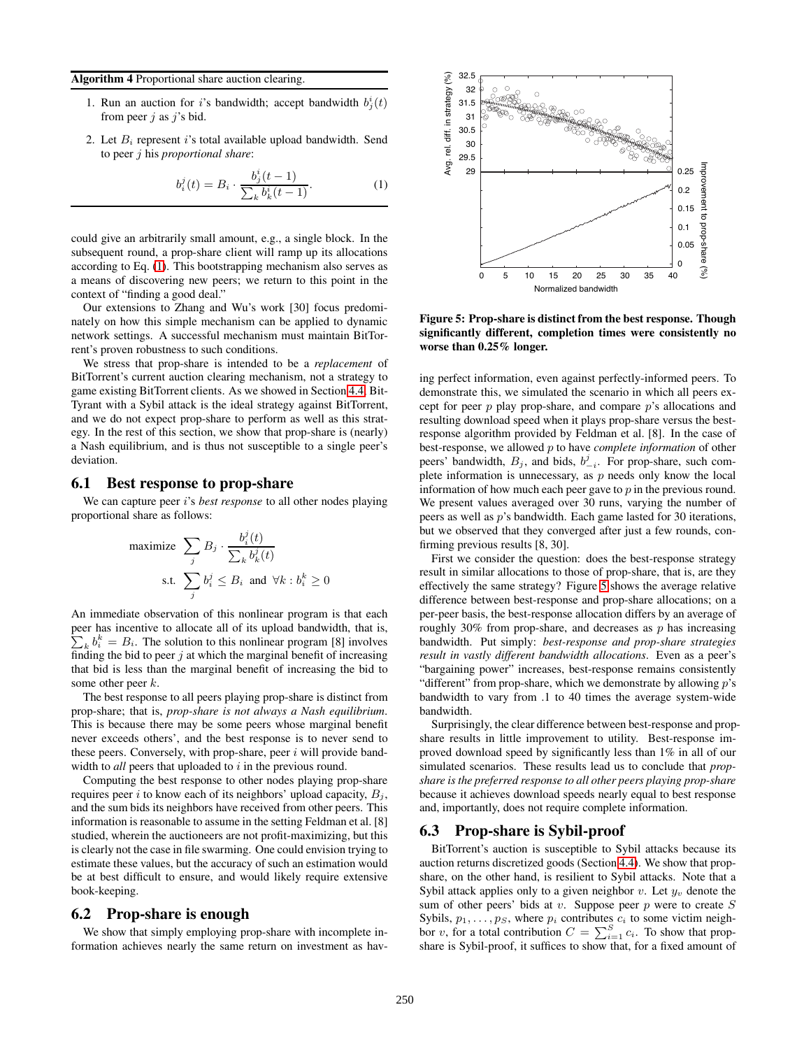#### **Algorithm 4** Proportional share auction clearing.

- 1. Run an auction for i's bandwidth; accept bandwidth  $b_j^i(t)$ from peer  $j$  as  $j$ 's bid.
- <span id="page-7-1"></span>2. Let  $B_i$  represent i's total available upload bandwidth. Send to peer j his *proportional share*:

$$
b_i^j(t) = B_i \cdot \frac{b_j^i(t-1)}{\sum_k b_k^i(t-1)}.
$$
 (1)

<span id="page-7-0"></span>could give an arbitrarily small amount, e.g., a single block. In the subsequent round, a prop-share client will ramp up its allocations according to Eq. [\(1\)](#page-7-1). This bootstrapping mechanism also serves as a means of discovering new peers; we return to this point in the context of "finding a good deal."

Our extensions to Zhang and Wu's work [30] focus predominately on how this simple mechanism can be applied to dynamic network settings. A successful mechanism must maintain BitTorrent's proven robustness to such conditions.

We stress that prop-share is intended to be a *replacement* of BitTorrent's current auction clearing mechanism, not a strategy to game existing BitTorrent clients. As we showed in Section [4.4,](#page-3-5) Bit-Tyrant with a Sybil attack is the ideal strategy against BitTorrent, and we do not expect prop-share to perform as well as this strategy. In the rest of this section, we show that prop-share is (nearly) a Nash equilibrium, and is thus not susceptible to a single peer's deviation.

#### **6.1 Best response to prop-share**

We can capture peer i's *best response* to all other nodes playing proportional share as follows:

$$
\begin{aligned}\n\text{maximize} & \sum_{j} B_j \cdot \frac{b_i^j(t)}{\sum_{k} b_k^j(t)} \\
\text{s.t.} & \sum_{j} b_i^j \le B_i \text{ and } \forall k : b_i^k \ge 0\n\end{aligned}
$$

An immediate observation of this nonlinear program is that each peer has incentive to allocate all of its upload bandwidth, that is,  $\sum_{k} b_i^k = B_i$ . The solution to this nonlinear program [8] involves finding the bid to peer  $j$  at which the marginal benefit of increasing that bid is less than the marginal benefit of increasing the bid to some other peer  $k$ .

The best response to all peers playing prop-share is distinct from prop-share; that is, *prop-share is not always a Nash equilibrium*. This is because there may be some peers whose marginal benefit never exceeds others', and the best response is to never send to these peers. Conversely, with prop-share, peer  $i$  will provide bandwidth to *all* peers that uploaded to *i* in the previous round.

Computing the best response to other nodes playing prop-share requires peer i to know each of its neighbors' upload capacity,  $B_i$ , and the sum bids its neighbors have received from other peers. This information is reasonable to assume in the setting Feldman et al. [8] studied, wherein the auctioneers are not profit-maximizing, but this is clearly not the case in file swarming. One could envision trying to estimate these values, but the accuracy of such an estimation would be at best difficult to ensure, and would likely require extensive book-keeping.

#### **6.2 Prop-share is enough**

We show that simply employing prop-share with incomplete information achieves nearly the same return on investment as hav-



<span id="page-7-2"></span>**Figure 5: Prop-share is distinct from the best response. Though significantly different, completion times were consistently no worse than 0.25% longer.**

ing perfect information, even against perfectly-informed peers. To demonstrate this, we simulated the scenario in which all peers except for peer  $p$  play prop-share, and compare  $p$ 's allocations and resulting download speed when it plays prop-share versus the bestresponse algorithm provided by Feldman et al. [8]. In the case of best-response, we allowed p to have *complete information* of other peers' bandwidth,  $B_j$ , and bids,  $b_{-i}^j$ . For prop-share, such complete information is unnecessary, as  $p$  needs only know the local information of how much each peer gave to  $p$  in the previous round. We present values averaged over 30 runs, varying the number of peers as well as p's bandwidth. Each game lasted for 30 iterations, but we observed that they converged after just a few rounds, confirming previous results [8, 30].

First we consider the question: does the best-response strategy result in similar allocations to those of prop-share, that is, are they effectively the same strategy? Figure [5](#page-7-2) shows the average relative difference between best-response and prop-share allocations; on a per-peer basis, the best-response allocation differs by an average of roughly 30% from prop-share, and decreases as  $p$  has increasing bandwidth. Put simply: *best-response and prop-share strategies result in vastly different bandwidth allocations*. Even as a peer's "bargaining power" increases, best-response remains consistently "different" from prop-share, which we demonstrate by allowing  $p$ 's bandwidth to vary from .1 to 40 times the average system-wide bandwidth.

Surprisingly, the clear difference between best-response and propshare results in little improvement to utility. Best-response improved download speed by significantly less than 1% in all of our simulated scenarios. These results lead us to conclude that *propshare is the preferred response to all other peers playing prop-share* because it achieves download speeds nearly equal to best response and, importantly, does not require complete information.

#### **6.3 Prop-share is Sybil-proof**

BitTorrent's auction is susceptible to Sybil attacks because its auction returns discretized goods (Section [4.4\)](#page-3-5). We show that propshare, on the other hand, is resilient to Sybil attacks. Note that a Sybil attack applies only to a given neighbor v. Let  $y_v$  denote the sum of other peers' bids at  $v$ . Suppose peer  $p$  were to create  $S$ Sybils,  $p_1, \ldots, p_S$ , where  $p_i$  contributes  $c_i$  to some victim neighbor v, for a total contribution  $C = \sum_{i=1}^{S} c_i$ . To show that propshare is Sybil-proof, it suffices to show that, for a fixed amount of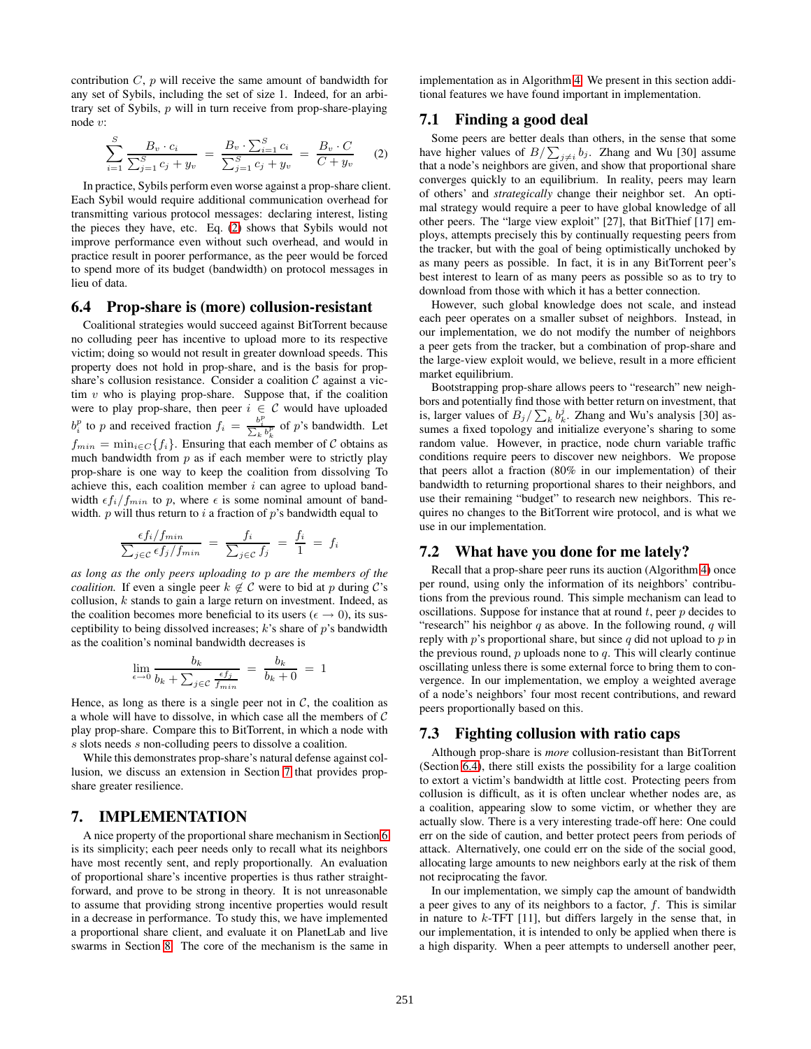contribution  $C$ ,  $p$  will receive the same amount of bandwidth for any set of Sybils, including the set of size 1. Indeed, for an arbitrary set of Sybils,  $p$  will in turn receive from prop-share-playing node v:

$$
\sum_{i=1}^{S} \frac{B_v \cdot c_i}{\sum_{j=1}^{S} c_j + y_v} = \frac{B_v \cdot \sum_{i=1}^{S} c_i}{\sum_{j=1}^{S} c_j + y_v} = \frac{B_v \cdot C}{C + y_v} \tag{2}
$$

<span id="page-8-1"></span>In practice, Sybils perform even worse against a prop-share client. Each Sybil would require additional communication overhead for transmitting various protocol messages: declaring interest, listing the pieces they have, etc. Eq. [\(2\)](#page-8-1) shows that Sybils would not improve performance even without such overhead, and would in practice result in poorer performance, as the peer would be forced to spend more of its budget (bandwidth) on protocol messages in lieu of data.

#### <span id="page-8-2"></span>**6.4 Prop-share is (more) collusion-resistant**

Coalitional strategies would succeed against BitTorrent because no colluding peer has incentive to upload more to its respective victim; doing so would not result in greater download speeds. This property does not hold in prop-share, and is the basis for propshare's collusion resistance. Consider a coalition  $C$  against a victim  $v$  who is playing prop-share. Suppose that, if the coalition were to play prop-share, then peer  $i \in \mathcal{C}$  would have uploaded  $b_i^p$  to p and received fraction  $f_i = \frac{b_i^p}{\sum_k b_k^p}$  of p's bandwidth. Let  $f_{min} = \min_{i \in C} \{f_i\}$ . Ensuring that each member of C obtains as much bandwidth from  $p$  as if each member were to strictly play prop-share is one way to keep the coalition from dissolving To achieve this, each coalition member  $i$  can agree to upload bandwidth  $\epsilon f_i/f_{min}$  to p, where  $\epsilon$  is some nominal amount of bandwidth.  $p$  will thus return to  $i$  a fraction of  $p$ 's bandwidth equal to

$$
\frac{\epsilon f_i/f_{min}}{\sum_{j\in C} \epsilon f_j/f_{min}} = \frac{f_i}{\sum_{j\in C} f_j} = \frac{f_i}{1} = f_i
$$

*as long as the only peers uploading to* p *are the members of the coalition.* If even a single peer  $k \notin \mathcal{C}$  were to bid at p during C's collusion,  $k$  stands to gain a large return on investment. Indeed, as the coalition becomes more beneficial to its users ( $\epsilon \to 0$ ), its susceptibility to being dissolved increases;  $k$ 's share of  $p$ 's bandwidth as the coalition's nominal bandwidth decreases is

$$
\lim_{\epsilon \to 0} \frac{b_k}{b_k + \sum_{j \in C} \frac{\epsilon f_j}{f_{min}}} = \frac{b_k}{b_k + 0} = 1
$$

Hence, as long as there is a single peer not in  $\mathcal{C}$ , the coalition as a whole will have to dissolve, in which case all the members of C play prop-share. Compare this to BitTorrent, in which a node with s slots needs s non-colluding peers to dissolve a coalition.

While this demonstrates prop-share's natural defense against collusion, we discuss an extension in Section [7](#page-8-0) that provides propshare greater resilience.

# <span id="page-8-0"></span>**7. IMPLEMENTATION**

A nice property of the proportional share mechanism in Section [6](#page-6-0) is its simplicity; each peer needs only to recall what its neighbors have most recently sent, and reply proportionally. An evaluation of proportional share's incentive properties is thus rather straightforward, and prove to be strong in theory. It is not unreasonable to assume that providing strong incentive properties would result in a decrease in performance. To study this, we have implemented a proportional share client, and evaluate it on PlanetLab and live swarms in Section [8.](#page-9-0) The core of the mechanism is the same in

implementation as in Algorithm [4.](#page-7-0) We present in this section additional features we have found important in implementation.

# **7.1 Finding a good deal**

Some peers are better deals than others, in the sense that some have higher values of  $B/\sum_{j\neq i} b_j$ . Zhang and Wu [30] assume that a node's neighbors are given, and show that proportional share converges quickly to an equilibrium. In reality, peers may learn of others' and *strategically* change their neighbor set. An optimal strategy would require a peer to have global knowledge of all other peers. The "large view exploit" [27], that BitThief [17] employs, attempts precisely this by continually requesting peers from the tracker, but with the goal of being optimistically unchoked by as many peers as possible. In fact, it is in any BitTorrent peer's best interest to learn of as many peers as possible so as to try to download from those with which it has a better connection.

However, such global knowledge does not scale, and instead each peer operates on a smaller subset of neighbors. Instead, in our implementation, we do not modify the number of neighbors a peer gets from the tracker, but a combination of prop-share and the large-view exploit would, we believe, result in a more efficient market equilibrium.

Bootstrapping prop-share allows peers to "research" new neighbors and potentially find those with better return on investment, that is, larger values of  $B_j / \sum_k b_k^j$ . Zhang and Wu's analysis [30] assumes a fixed topology and initialize everyone's sharing to some random value. However, in practice, node churn variable traffic conditions require peers to discover new neighbors. We propose that peers allot a fraction (80% in our implementation) of their bandwidth to returning proportional shares to their neighbors, and use their remaining "budget" to research new neighbors. This requires no changes to the BitTorrent wire protocol, and is what we use in our implementation.

# **7.2 What have you done for me lately?**

Recall that a prop-share peer runs its auction (Algorithm [4\)](#page-7-0) once per round, using only the information of its neighbors' contributions from the previous round. This simple mechanism can lead to oscillations. Suppose for instance that at round  $t$ , peer  $p$  decides to "research" his neighbor  $q$  as above. In the following round,  $q$  will reply with  $p$ 's proportional share, but since  $q$  did not upload to  $p$  in the previous round,  $p$  uploads none to  $q$ . This will clearly continue oscillating unless there is some external force to bring them to convergence. In our implementation, we employ a weighted average of a node's neighbors' four most recent contributions, and reward peers proportionally based on this.

# **7.3 Fighting collusion with ratio caps**

Although prop-share is *more* collusion-resistant than BitTorrent (Section [6.4\)](#page-8-2), there still exists the possibility for a large coalition to extort a victim's bandwidth at little cost. Protecting peers from collusion is difficult, as it is often unclear whether nodes are, as a coalition, appearing slow to some victim, or whether they are actually slow. There is a very interesting trade-off here: One could err on the side of caution, and better protect peers from periods of attack. Alternatively, one could err on the side of the social good, allocating large amounts to new neighbors early at the risk of them not reciprocating the favor.

In our implementation, we simply cap the amount of bandwidth a peer gives to any of its neighbors to a factor,  $f$ . This is similar in nature to  $k$ -TFT [11], but differs largely in the sense that, in our implementation, it is intended to only be applied when there is a high disparity. When a peer attempts to undersell another peer,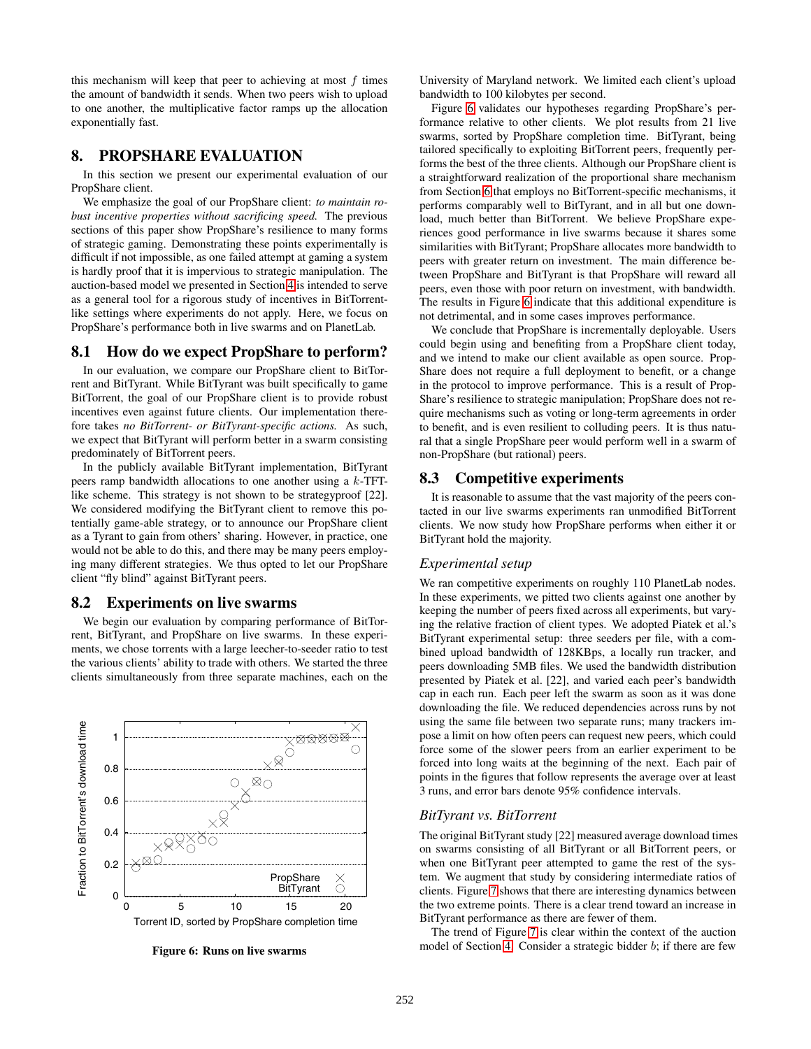this mechanism will keep that peer to achieving at most  $f$  times the amount of bandwidth it sends. When two peers wish to upload to one another, the multiplicative factor ramps up the allocation exponentially fast.

# <span id="page-9-0"></span>**8. PROPSHARE EVALUATION**

In this section we present our experimental evaluation of our PropShare client.

We emphasize the goal of our PropShare client: *to maintain robust incentive properties without sacrificing speed.* The previous sections of this paper show PropShare's resilience to many forms of strategic gaming. Demonstrating these points experimentally is difficult if not impossible, as one failed attempt at gaming a system is hardly proof that it is impervious to strategic manipulation. The auction-based model we presented in Section [4](#page-3-0) is intended to serve as a general tool for a rigorous study of incentives in BitTorrentlike settings where experiments do not apply. Here, we focus on PropShare's performance both in live swarms and on PlanetLab.

#### **8.1 How do we expect PropShare to perform?**

In our evaluation, we compare our PropShare client to BitTorrent and BitTyrant. While BitTyrant was built specifically to game BitTorrent, the goal of our PropShare client is to provide robust incentives even against future clients. Our implementation therefore takes *no BitTorrent- or BitTyrant-specific actions.* As such, we expect that BitTyrant will perform better in a swarm consisting predominately of BitTorrent peers.

In the publicly available BitTyrant implementation, BitTyrant peers ramp bandwidth allocations to one another using a k-TFTlike scheme. This strategy is not shown to be strategyproof [22]. We considered modifying the BitTyrant client to remove this potentially game-able strategy, or to announce our PropShare client as a Tyrant to gain from others' sharing. However, in practice, one would not be able to do this, and there may be many peers employing many different strategies. We thus opted to let our PropShare client "fly blind" against BitTyrant peers.

#### **8.2 Experiments on live swarms**

We begin our evaluation by comparing performance of BitTorrent, BitTyrant, and PropShare on live swarms. In these experiments, we chose torrents with a large leecher-to-seeder ratio to test the various clients' ability to trade with others. We started the three clients simultaneously from three separate machines, each on the



Torrent ID, sorted by PropShare completion time

**Figure 6: Runs on live swarms**

University of Maryland network. We limited each client's upload bandwidth to 100 kilobytes per second.

Figure [6](#page-9-1) validates our hypotheses regarding PropShare's performance relative to other clients. We plot results from 21 live swarms, sorted by PropShare completion time. BitTyrant, being tailored specifically to exploiting BitTorrent peers, frequently performs the best of the three clients. Although our PropShare client is a straightforward realization of the proportional share mechanism from Section [6](#page-6-0) that employs no BitTorrent-specific mechanisms, it performs comparably well to BitTyrant, and in all but one download, much better than BitTorrent. We believe PropShare experiences good performance in live swarms because it shares some similarities with BitTyrant; PropShare allocates more bandwidth to peers with greater return on investment. The main difference between PropShare and BitTyrant is that PropShare will reward all peers, even those with poor return on investment, with bandwidth. The results in Figure [6](#page-9-1) indicate that this additional expenditure is not detrimental, and in some cases improves performance.

We conclude that PropShare is incrementally deployable. Users could begin using and benefiting from a PropShare client today, and we intend to make our client available as open source. Prop-Share does not require a full deployment to benefit, or a change in the protocol to improve performance. This is a result of Prop-Share's resilience to strategic manipulation; PropShare does not require mechanisms such as voting or long-term agreements in order to benefit, and is even resilient to colluding peers. It is thus natural that a single PropShare peer would perform well in a swarm of non-PropShare (but rational) peers.

# **8.3 Competitive experiments**

It is reasonable to assume that the vast majority of the peers contacted in our live swarms experiments ran unmodified BitTorrent clients. We now study how PropShare performs when either it or BitTyrant hold the majority.

# *Experimental setup*

We ran competitive experiments on roughly 110 PlanetLab nodes. In these experiments, we pitted two clients against one another by keeping the number of peers fixed across all experiments, but varying the relative fraction of client types. We adopted Piatek et al.'s BitTyrant experimental setup: three seeders per file, with a combined upload bandwidth of 128KBps, a locally run tracker, and peers downloading 5MB files. We used the bandwidth distribution presented by Piatek et al. [22], and varied each peer's bandwidth cap in each run. Each peer left the swarm as soon as it was done downloading the file. We reduced dependencies across runs by not using the same file between two separate runs; many trackers impose a limit on how often peers can request new peers, which could force some of the slower peers from an earlier experiment to be forced into long waits at the beginning of the next. Each pair of points in the figures that follow represents the average over at least 3 runs, and error bars denote 95% confidence intervals.

### *BitTyrant vs. BitTorrent*

The original BitTyrant study [22] measured average download times on swarms consisting of all BitTyrant or all BitTorrent peers, or when one BitTyrant peer attempted to game the rest of the system. We augment that study by considering intermediate ratios of clients. Figure [7](#page-10-1) shows that there are interesting dynamics between the two extreme points. There is a clear trend toward an increase in BitTyrant performance as there are fewer of them.

<span id="page-9-1"></span>The trend of Figure [7](#page-10-1) is clear within the context of the auction model of Section [4.](#page-3-0) Consider a strategic bidder b; if there are few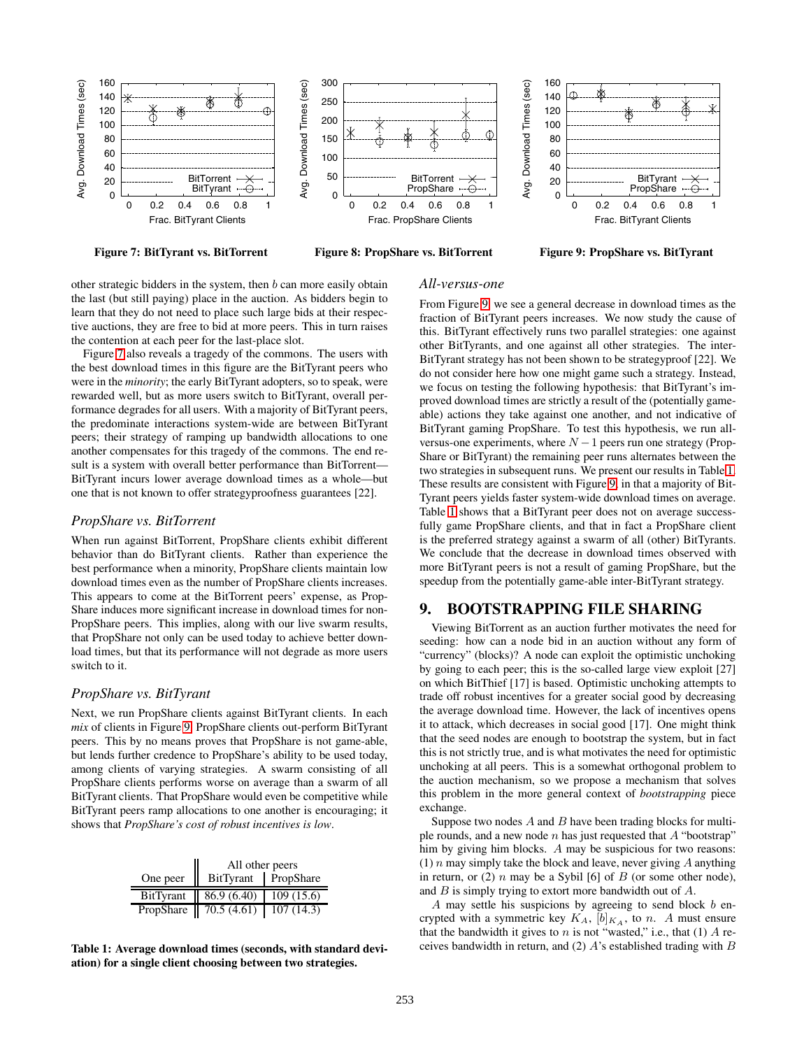

<span id="page-10-1"></span>**Figure 7: BitTyrant vs. BitTorrent**

**Figure 8: PropShare vs. BitTorrent**

<span id="page-10-2"></span>**Figure 9: PropShare vs. BitTyrant**

other strategic bidders in the system, then  $b$  can more easily obtain the last (but still paying) place in the auction. As bidders begin to learn that they do not need to place such large bids at their respective auctions, they are free to bid at more peers. This in turn raises the contention at each peer for the last-place slot.

Figure [7](#page-10-1) also reveals a tragedy of the commons. The users with the best download times in this figure are the BitTyrant peers who were in the *minority*; the early BitTyrant adopters, so to speak, were rewarded well, but as more users switch to BitTyrant, overall performance degrades for all users. With a majority of BitTyrant peers, the predominate interactions system-wide are between BitTyrant peers; their strategy of ramping up bandwidth allocations to one another compensates for this tragedy of the commons. The end result is a system with overall better performance than BitTorrent— BitTyrant incurs lower average download times as a whole—but one that is not known to offer strategyproofness guarantees [22].

### *PropShare vs. BitTorrent*

When run against BitTorrent, PropShare clients exhibit different behavior than do BitTyrant clients. Rather than experience the best performance when a minority, PropShare clients maintain low download times even as the number of PropShare clients increases. This appears to come at the BitTorrent peers' expense, as Prop-Share induces more significant increase in download times for non-PropShare peers. This implies, along with our live swarm results, that PropShare not only can be used today to achieve better download times, but that its performance will not degrade as more users switch to it.

#### *PropShare vs. BitTyrant*

Next, we run PropShare clients against BitTyrant clients. In each *mix* of clients in Figure [9,](#page-10-2) PropShare clients out-perform BitTyrant peers. This by no means proves that PropShare is not game-able, but lends further credence to PropShare's ability to be used today, among clients of varying strategies. A swarm consisting of all PropShare clients performs worse on average than a swarm of all BitTyrant clients. That PropShare would even be competitive while BitTyrant peers ramp allocations to one another is encouraging; it shows that *PropShare's cost of robust incentives is low*.

|          | All other peers                |           |  |
|----------|--------------------------------|-----------|--|
| One peer | BitTyrant PropShare            |           |  |
|          | BitTyrant   86.9 (6.40)        | 109(15.6) |  |
|          | PropShare $\sqrt{70.5 (4.61)}$ | 107(14.3) |  |

<span id="page-10-3"></span>**Table 1: Average download times (seconds, with standard deviation) for a single client choosing between two strategies.**

#### *All-versus-one*

From Figure [9,](#page-10-2) we see a general decrease in download times as the fraction of BitTyrant peers increases. We now study the cause of this. BitTyrant effectively runs two parallel strategies: one against other BitTyrants, and one against all other strategies. The inter-BitTyrant strategy has not been shown to be strategyproof [22]. We do not consider here how one might game such a strategy. Instead, we focus on testing the following hypothesis: that BitTyrant's improved download times are strictly a result of the (potentially gameable) actions they take against one another, and not indicative of BitTyrant gaming PropShare. To test this hypothesis, we run allversus-one experiments, where  $N - 1$  peers run one strategy (Prop-Share or BitTyrant) the remaining peer runs alternates between the two strategies in subsequent runs. We present our results in Table [1.](#page-10-3) These results are consistent with Figure [9,](#page-10-2) in that a majority of Bit-Tyrant peers yields faster system-wide download times on average. Table [1](#page-10-3) shows that a BitTyrant peer does not on average successfully game PropShare clients, and that in fact a PropShare client is the preferred strategy against a swarm of all (other) BitTyrants. We conclude that the decrease in download times observed with more BitTyrant peers is not a result of gaming PropShare, but the speedup from the potentially game-able inter-BitTyrant strategy.

# <span id="page-10-0"></span>**9. BOOTSTRAPPING FILE SHARING**

Viewing BitTorrent as an auction further motivates the need for seeding: how can a node bid in an auction without any form of "currency" (blocks)? A node can exploit the optimistic unchoking by going to each peer; this is the so-called large view exploit [27] on which BitThief [17] is based. Optimistic unchoking attempts to trade off robust incentives for a greater social good by decreasing the average download time. However, the lack of incentives opens it to attack, which decreases in social good [17]. One might think that the seed nodes are enough to bootstrap the system, but in fact this is not strictly true, and is what motivates the need for optimistic unchoking at all peers. This is a somewhat orthogonal problem to the auction mechanism, so we propose a mechanism that solves this problem in the more general context of *bootstrapping* piece exchange.

Suppose two nodes  $A$  and  $B$  have been trading blocks for multiple rounds, and a new node  $n$  has just requested that  $A$  "bootstrap" him by giving him blocks. A may be suspicious for two reasons: (1)  $n$  may simply take the block and leave, never giving  $A$  anything in return, or (2) n may be a Sybil [6] of  $B$  (or some other node), and B is simply trying to extort more bandwidth out of A.

A may settle his suspicions by agreeing to send block b encrypted with a symmetric key  $K_A$ ,  $[b]_{K_A}$ , to n. A must ensure that the bandwidth it gives to  $n$  is not "wasted," i.e., that (1)  $A$  receives bandwidth in return, and  $(2)$  A's established trading with B